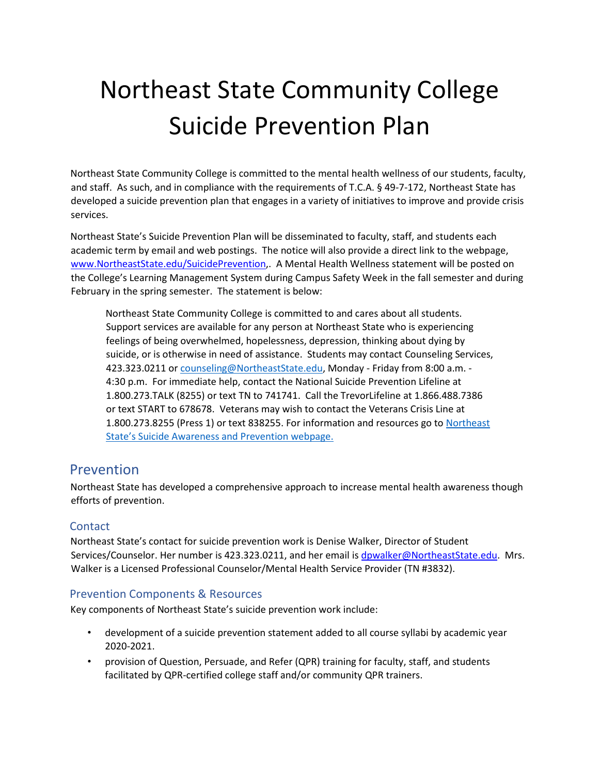# Northeast State Community College Suicide Prevention Plan

Northeast State Community College is committed to the mental health wellness of our students, faculty, and staff. As such, and in compliance with the requirements of T.C.A. § 49-7-172, Northeast State has developed a suicide prevention plan that engages in a variety of initiatives to improve and provide crisis services.

Northeast State's Suicide Prevention Plan will be disseminated to faculty, staff, and students each academic term by email and web postings. The notice will also provide a direct link to the webpage, [www.NortheastState.edu/SuicidePrevention,.](http://www.northeaststate.edu/SuicidePrevention) A Mental Health Wellness statement will be posted on the College's Learning Management System during Campus Safety Week in the fall semester and during February in the spring semester. The statement is below:

Northeast State Community College is committed to and cares about all students. Support services are available for any person at Northeast State who is experiencing feelings of being overwhelmed, hopelessness, depression, thinking about dying by suicide, or is otherwise in need of assistance. Students may contact Counseling Services, 423.323.0211 o[r counseling@NortheastState.edu,](mailto:counseling@NortheastState.edu) Monday - Friday from 8:00 a.m. -4:30 p.m. For immediate help, contact the National Suicide Prevention Lifeline at 1.800.273.TALK (8255) or text TN to 741741. Call the TrevorLifeline at 1.866.488.7386 or text START to 678678. Veterans may wish to contact the Veterans Crisis Line at 1.800.273.8255 (Press 1) or text 838255. For information and resources go to [Northeast](https://www.northeaststate.edu/Campus-Resources/Counseling-Services/Suicide-Prevention-and-Awareness/)  [State's Suicide Awareness and Prevention webpage.](https://www.northeaststate.edu/Campus-Resources/Counseling-Services/Suicide-Prevention-and-Awareness/) 

### Prevention

Northeast State has developed a comprehensive approach to increase mental health awareness though efforts of prevention.

#### **Contact**

Northeast State's contact for suicide prevention work is Denise Walker, Director of Student Services/Counselor. Her number is 423.323.0211, and her email is dpwalker@NortheastState.edu. Mrs. Walker is a Licensed Professional Counselor/Mental Health Service Provider (TN #3832).

#### Prevention Components & Resources

Key components of Northeast State's suicide prevention work include:

- development of a suicide prevention statement added to all course syllabi by academic year 2020-2021.
- provision of Question, Persuade, and Refer (QPR) training for faculty, staff, and students facilitated by QPR-certified college staff and/or community QPR trainers.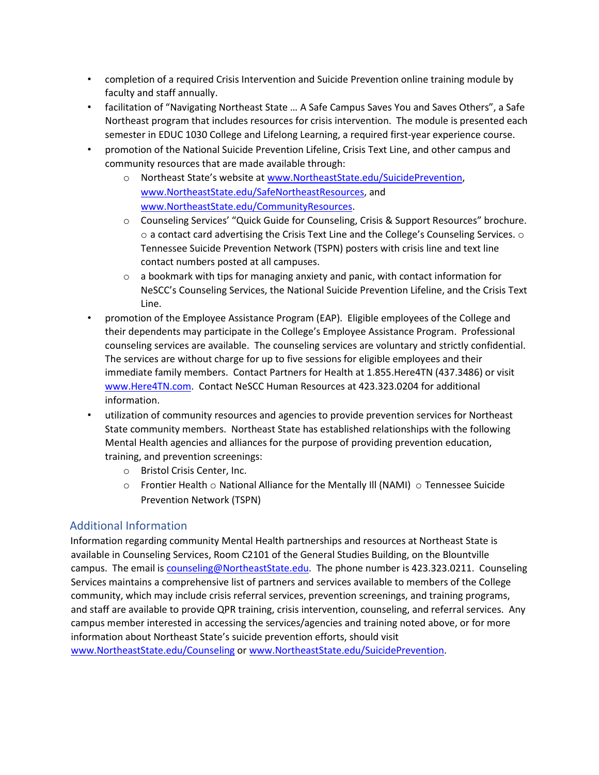- completion of a required Crisis Intervention and Suicide Prevention online training module by faculty and staff annually.
- facilitation of "Navigating Northeast State … A Safe Campus Saves You and Saves Others", a Safe Northeast program that includes resources for crisis intervention. The module is presented each semester in EDUC 1030 College and Lifelong Learning, a required first-year experience course.
- promotion of the National Suicide Prevention Lifeline, Crisis Text Line, and other campus and community resources that are made available through:
	- o Northeast State's website at [www.NortheastState.edu/SuicidePrevention,](http://www.northeaststate.edu/SuicidePrevention) [www.NortheastState.edu/SafeNortheastResources,](http://www.northeaststate.edu/SafeNortheastResources) and [www.NortheastState.edu/CommunityResources.](http://www.northeaststate.edu/CommunityResources)
	- o Counseling Services' "Quick Guide for Counseling, Crisis & Support Resources" brochure.  $\circ$  a contact card advertising the Crisis Text Line and the College's Counseling Services.  $\circ$ Tennessee Suicide Prevention Network (TSPN) posters with crisis line and text line contact numbers posted at all campuses.
	- $\circ$  a bookmark with tips for managing anxiety and panic, with contact information for NeSCC's Counseling Services, the National Suicide Prevention Lifeline, and the Crisis Text Line.
- promotion of the Employee Assistance Program (EAP). Eligible employees of the College and their dependents may participate in the College's Employee Assistance Program. Professional counseling services are available. The counseling services are voluntary and strictly confidential. The services are without charge for up to five sessions for eligible employees and their immediate family members. Contact Partners for Health at 1.855.Here4TN (437.3486) or visit [www.Here4TN.com.](http://www.here4tn.com/) Contact NeSCC Human Resources at 423.323.0204 for additional information.
- utilization of community resources and agencies to provide prevention services for Northeast State community members. Northeast State has established relationships with the following Mental Health agencies and alliances for the purpose of providing prevention education, training, and prevention screenings:
	- o Bristol Crisis Center, Inc.
	- $\circ$  Frontier Health  $\circ$  National Alliance for the Mentally III (NAMI)  $\circ$  Tennessee Suicide Prevention Network (TSPN)

#### Additional Information

Information regarding community Mental Health partnerships and resources at Northeast State is available in Counseling Services, Room C2101 of the General Studies Building, on the Blountville campus. The email is counseling@NortheastState.edu. The phone number is 423.323.0211. Counseling Services maintains a comprehensive list of partners and services available to members of the College community, which may include crisis referral services, prevention screenings, and training programs, and staff are available to provide QPR training, crisis intervention, counseling, and referral services. Any campus member interested in accessing the services/agencies and training noted above, or for more information about Northeast State's suicide prevention efforts, should visit [www.NortheastState.edu/Counseling](http://www.northeaststate.edu/Counseling) [o](http://www.northeaststate.edu/Counseling)[r www.NortheastState.edu/SuicidePrevention.](http://www.northeaststate.edu/SuicidePrevention)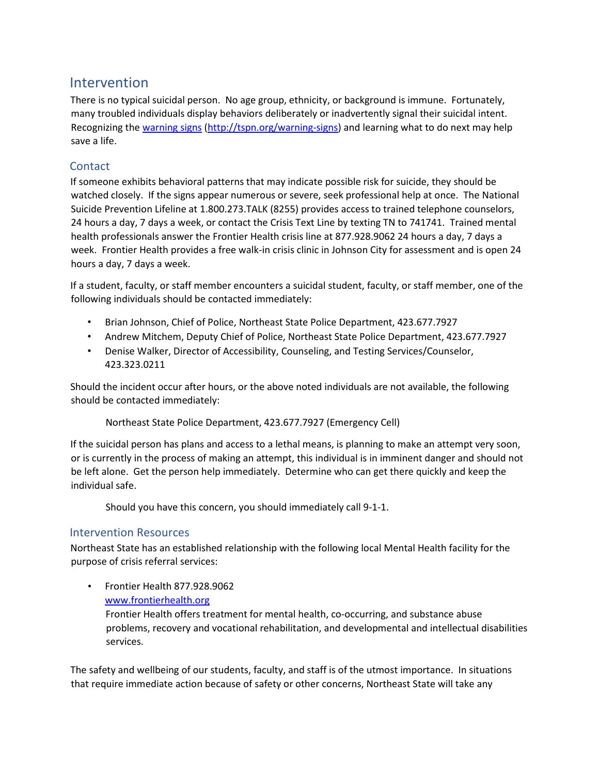## Intervention

There is no typical suicidal person. No age group, ethnicity, or background is immune. Fortunately, many troubled individuals display behaviors deliberately or inadvertently signal their suicidal intent. Recognizing th[e warning signs](http://tspn.org/warning-signs) [\(http://tspn.org/warning-signs\)](http://tspn.org/warning-signs) and learning what to do next may help save a life.

#### **Contact**

If someone exhibits behavioral patterns that may indicate possible risk for suicide, they should be watched closely. If the signs appear numerous or severe, seek professional help at once. The National Suicide Prevention Lifeline at 1.800.273.TALK (8255) provides access to trained telephone counselors, 24 hours a day, 7 days a week, or contact the Crisis Text Line by texting TN to 741741. Trained mental health professionals answer the Frontier Health crisis line at 877.928.9062 24 hours a day, 7 days a week. Frontier Health provides a free walk-in crisis clinic in Johnson City for assessment and is open 24 hours a day, 7 days a week.

If a student, faculty, or staff member encounters a suicidal student, faculty, or staff member, one of the following individuals should be contacted immediately:

- Brian Johnson, Chief of Police, Northeast State Police Department, 423.677.7927
- Andrew Mitchem, Deputy Chief of Police, Northeast State Police Department, 423.677.7927
- Denise Walker, Director of Accessibility, Counseling, and Testing Services/Counselor, 423.323.0211

Should the incident occur after hours, or the above noted individuals are not available, the following should be contacted immediately:

Northeast State Police Department, 423.677.7927 (Emergency Cell)

If the suicidal person has plans and access to a lethal means, is planning to make an attempt very soon, or is currently in the process of making an attempt, this individual is in imminent danger and should not be left alone. Get the person help immediately. Determine who can get there quickly and keep the individual safe.

Should you have this concern, you should immediately call 9-1-1.

#### Intervention Resources

Northeast State has an established relationship with the following local Mental Health facility for the purpose of crisis referral services:

• Frontier Health 877.928.9062 [www.frontierhealth.org](http://www.frontierhealth.org/)

> Frontier Health offers treatment for mental health, co-occurring, and substance abuse problems, recovery and vocational rehabilitation, and developmental and intellectual disabilities services.

The safety and wellbeing of our students, faculty, and staff is of the utmost importance. In situations that require immediate action because of safety or other concerns, Northeast State will take any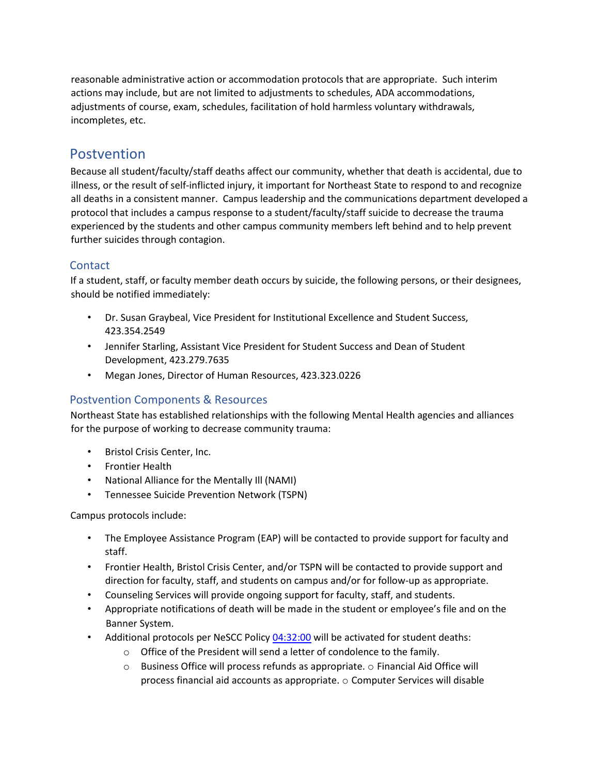reasonable administrative action or accommodation protocols that are appropriate. Such interim actions may include, but are not limited to adjustments to schedules, ADA accommodations, adjustments of course, exam, schedules, facilitation of hold harmless voluntary withdrawals, incompletes, etc.

## Postvention

Because all student/faculty/staff deaths affect our community, whether that death is accidental, due to illness, or the result of self-inflicted injury, it important for Northeast State to respond to and recognize all deaths in a consistent manner. Campus leadership and the communications department developed a protocol that includes a campus response to a student/faculty/staff suicide to decrease the trauma experienced by the students and other campus community members left behind and to help prevent further suicides through contagion.

#### **Contact**

If a student, staff, or faculty member death occurs by suicide, the following persons, or their designees, should be notified immediately:

- Dr. Susan Graybeal, Vice President for Institutional Excellence and Student Success, 423.354.2549
- Jennifer Starling, Assistant Vice President for Student Success and Dean of Student Development, 423.279.7635
- Megan Jones, Director of Human Resources, 423.323.0226

#### Postvention Components & Resources

Northeast State has established relationships with the following Mental Health agencies and alliances for the purpose of working to decrease community trauma:

- Bristol Crisis Center, Inc.
- Frontier Health
- National Alliance for the Mentally Ill (NAMI)
- Tennessee Suicide Prevention Network (TSPN)

Campus protocols include:

- The Employee Assistance Program (EAP) will be contacted to provide support for faculty and staff.
- Frontier Health, Bristol Crisis Center, and/or TSPN will be contacted to provide support and direction for faculty, staff, and students on campus and/or for follow-up as appropriate.
- Counseling Services will provide ongoing support for faculty, staff, and students.
- Appropriate notifications of death will be made in the student or employee's file and on the Banner System.
- Additional protocols per NeSCC Polic[y 04:32:00](https://apps.northeaststate.edu/ie/policymanual/pol.asp?p=171) [w](https://apps.northeaststate.edu/ie/policymanual/pol.asp?p=171)ill be activated for student deaths:
	- o Office of the President will send a letter of condolence to the family.
	- o Business Office will process refunds as appropriate. o Financial Aid Office will process financial aid accounts as appropriate. o Computer Services will disable